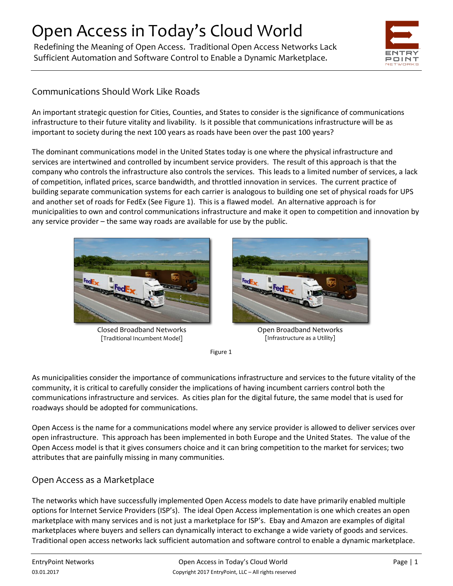# Open Access in Today's Cloud World

Redefining the Meaning of Open Access. Traditional Open Access Networks Lack Sufficient Automation and Software Control to Enable a Dynamic Marketplace.



### Communications Should Work Like Roads

An important strategic question for Cities, Counties, and States to consider is the significance of communications infrastructure to their future vitality and livability. Is it possible that communications infrastructure will be as important to society during the next 100 years as roads have been over the past 100 years?

The dominant communications model in the United States today is one where the physical infrastructure and services are intertwined and controlled by incumbent service providers. The result of this approach is that the company who controls the infrastructure also controls the services. This leads to a limited number of services, a lack of competition, inflated prices, scarce bandwidth, and throttled innovation in services. The current practice of building separate communication systems for each carrier is analogous to building one set of physical roads for UPS and another set of roads for FedEx (See Figure 1). This is a flawed model. An alternative approach is for municipalities to own and control communications infrastructure and make it open to competition and innovation by any service provider – the same way roads are available for use by the public.



Closed Broadband Networks [Traditional Incumbent Model]



Open Broadband Networks [Infrastructure as a Utility]

Figure 1

As municipalities consider the importance of communications infrastructure and services to the future vitality of the community, it is critical to carefully consider the implications of having incumbent carriers control both the communications infrastructure and services. As cities plan for the digital future, the same model that is used for roadways should be adopted for communications.

Open Access is the name for a communications model where any service provider is allowed to deliver services over open infrastructure. This approach has been implemented in both Europe and the United States. The value of the Open Access model is that it gives consumers choice and it can bring competition to the market for services; two attributes that are painfully missing in many communities.

#### Open Access as a Marketplace

The networks which have successfully implemented Open Access models to date have primarily enabled multiple options for Internet Service Providers (ISP's). The ideal Open Access implementation is one which creates an open marketplace with many services and is not just a marketplace for ISP's. Ebay and Amazon are examples of digital marketplaces where buyers and sellers can dynamically interact to exchange a wide variety of goods and services. Traditional open access networks lack sufficient automation and software control to enable a dynamic marketplace.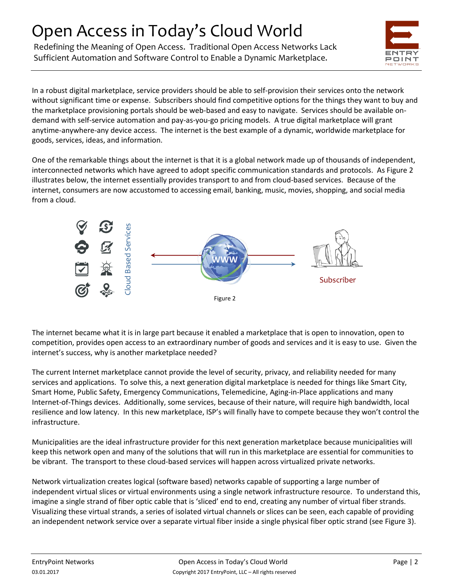# Open Access in Today's Cloud World

Redefining the Meaning of Open Access. Traditional Open Access Networks Lack Sufficient Automation and Software Control to Enable a Dynamic Marketplace.



In a robust digital marketplace, service providers should be able to self-provision their services onto the network without significant time or expense. Subscribers should find competitive options for the things they want to buy and the marketplace provisioning portals should be web-based and easy to navigate. Services should be available ondemand with self-service automation and pay-as-you-go pricing models. A true digital marketplace will grant anytime-anywhere-any device access. The internet is the best example of a dynamic, worldwide marketplace for goods, services, ideas, and information.

One of the remarkable things about the internet is that it is a global network made up of thousands of independent, interconnected networks which have agreed to adopt specific communication standards and protocols. As Figure 2 illustrates below, the internet essentially provides transport to and from cloud-based services. Because of the internet, consumers are now accustomed to accessing email, banking, music, movies, shopping, and social media from a cloud.



The internet became what it is in large part because it enabled a marketplace that is open to innovation, open to competition, provides open access to an extraordinary number of goods and services and it is easy to use. Given the internet's success, why is another marketplace needed?

The current Internet marketplace cannot provide the level of security, privacy, and reliability needed for many services and applications. To solve this, a next generation digital marketplace is needed for things like Smart City, Smart Home, Public Safety, Emergency Communications, Telemedicine, Aging-in-Place applications and many Internet-of-Things devices. Additionally, some services, because of their nature, will require high bandwidth, local resilience and low latency. In this new marketplace, ISP's will finally have to compete because they won't control the infrastructure.

Municipalities are the ideal infrastructure provider for this next generation marketplace because municipalities will keep this network open and many of the solutions that will run in this marketplace are essential for communities to be vibrant. The transport to these cloud-based services will happen across virtualized private networks.

Network virtualization creates logical (software based) networks capable of supporting a large number of independent virtual slices or virtual environments using a single network infrastructure resource. To understand this, imagine a single strand of fiber optic cable that is 'sliced' end to end, creating any number of virtual fiber strands. Visualizing these virtual strands, a series of isolated virtual channels or slices can be seen, each capable of providing